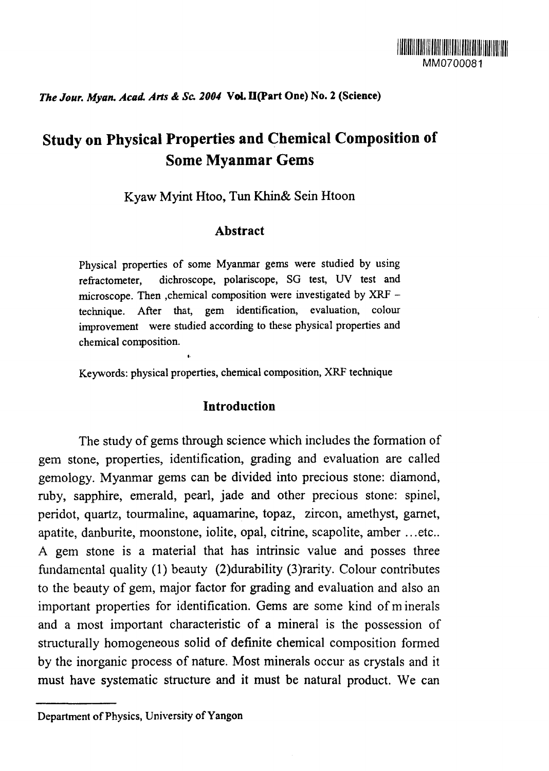# *The Jour. Myan. Acad. Arts & Sc 2004* **VoL II(Part One) No. 2 (Science)**

# **Study on Physical Properties and Chemical Composition of Some Myanmar Gems**

Kyaw Myint Htoo, Tun Khin& Sein Htoon

# **Abstract**

Physical properties of some Myanmar gems were studied by using refractometer, dichroscope, polariscope, SG test, UV test and microscope. Then .chemical composition were investigated by XRF technique. After that, gem identification, evaluation, colour improvement were studied according to these physical properties and chemical composition.

Keywords: physical properties, chemical composition, XRF technique

### **Introduction**

The study of gems through science which includes the formation of gem stone, properties, identification, grading and evaluation are called gemology. Myanmar gems can be divided into precious stone: diamond, ruby, sapphire, emerald, pearl, jade and other precious stone: spinel, peridot, quartz, tourmaline, aquamarine, topaz, zircon, amethyst, garnet, apatite, danburite, moonstone, iolite, opal, citrine, scapolite, amber ...etc.. A gem stone is a material that has intrinsic value and posses three fundamental quality (1) beauty (2)durability (3)rarity. Colour contributes to the beauty of gem, major factor for grading and evaluation and also an important properties for identification. Gems are some kind of minerals and a most important characteristic of a mineral is the possession of structurally homogeneous solid of definite chemical composition formed by the inorganic process of nature. Most minerals occur as crystals and it must have systematic structure and it must be natural product. We can

Department of Physics, University of Yangon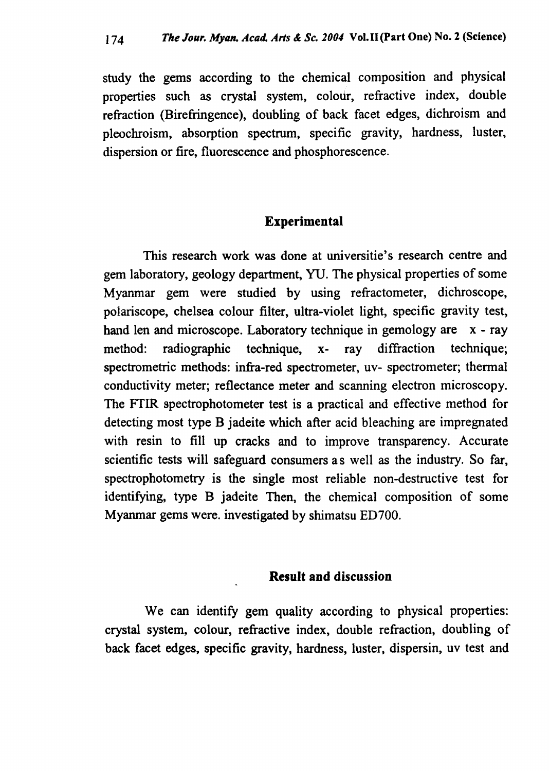study the gems according to the chemical composition and physical properties such as crystal system, colour, refractive index, double refraction (Birefringence), doubling of back facet edges, dichroism and pleochroism, absorption spectrum, specific gravity, hardness, luster, dispersion or fire, fluorescence and phosphorescence.

# **Experimental**

This research work was done at universitie's research centre and gem laboratory, geology department, YU. The physical properties of some Myanmar gem were studied by using refractometer, dichroscope, polariscope, chelsea colour filter, ultra-violet light, specific gravity test, hand len and microscope. Laboratory technique in gemology are x - ray method: radiographic technique, x- ray diffraction technique; spectrometric methods: infra-red spectrometer, uv- spectrometer; thermal conductivity meter; reflectance meter and scanning electron microscopy. The FTIR spectrophotometer test is a practical and effective method for detecting most type B jadeite which after acid bleaching are impregnated with resin to fill up cracks and to improve transparency. Accurate scientific tests will safeguard consumers as well as the industry. So far, spectrophotometry is the single most reliable non-destructive test for identifying, type B jadeite Then, the chemical composition of some Myanmar gems were, investigated by shimatsu ED700.

# **Result and discussion**

We can identify gem quality according to physical properties: crystal system, colour, refractive index, double refraction, doubling of back facet edges, specific gravity, hardness, luster, dispersin, uv test and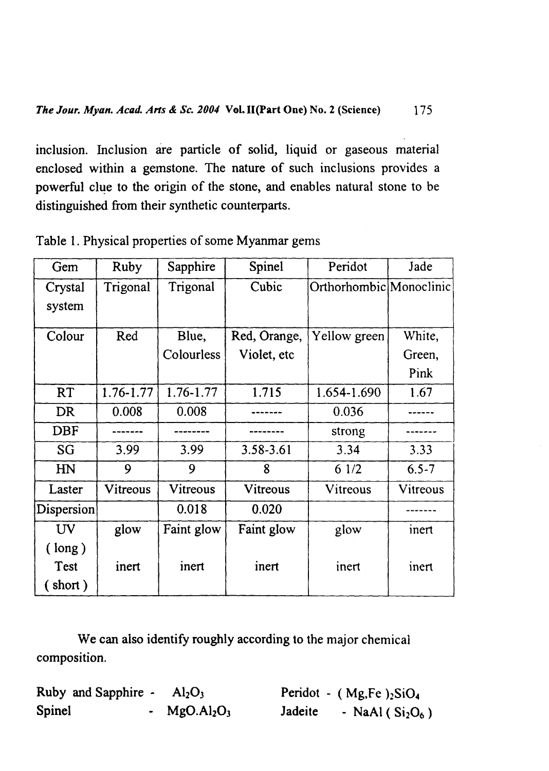inclusion. Inclusion are particle of solid, liquid or gaseous material enclosed within a gemstone. The nature of such inclusions provides a powerful clue to the origin of the stone, and enables natural stone to be distinguished from their synthetic counterparts.

| Gem                    | Ruby      | Sapphire   | Spinel                       | Peridot                 | Jade      |
|------------------------|-----------|------------|------------------------------|-------------------------|-----------|
| Crystal<br>system      | Trigonal  | Trigonal   | Cubic                        | Orthorhombic Monoclinic |           |
| Colour                 | Red       | Blue,      | Red, Orange,<br>Yellow green |                         | White,    |
|                        |           | Colourless | Violet, etc                  |                         | Green,    |
|                        |           |            |                              |                         | Pink      |
| <b>RT</b>              | 1.76-1.77 | 1.76-1.77  | 1.715                        | 1.654-1.690             | 1.67      |
| <b>DR</b>              | 0.008     | 0.008      |                              | 0.036                   |           |
| <b>DBF</b>             |           |            |                              | strong                  |           |
| <b>SG</b>              | 3.99      | 3.99       | 3.58-3.61                    | 3.34                    | 3.33      |
| H <sub>N</sub>         | 9         | 9          | 8                            | 61/2                    | $6.5 - 7$ |
| Laster                 | Vitreous  | Vitreous   | Vitreous                     | Vitreous                | Vitreous  |
| Dispersion             |           | 0.018      | 0.020                        |                         |           |
| $\mathbf{U}\mathbf{V}$ | glow      | Faint glow | Faint glow                   | glow                    | inert     |
| $(\text{long})$        |           |            |                              |                         |           |
| Test<br>(short)        | inert     | inert      | inert                        | inert                   | inert     |

Table 1. Physical properties of some Myanmar gems

We can also identify roughly according to the major chemical composition.

**Ruby and Sapphire** -  $AI<sub>2</sub>O<sub>3</sub>$ **Spinel - MgO.Al2O<sup>3</sup>** Peridot - (Mg,Fe)<sub>2</sub>SiO<sub>4</sub> **Jadeite - NaAl ( Si2O6 )**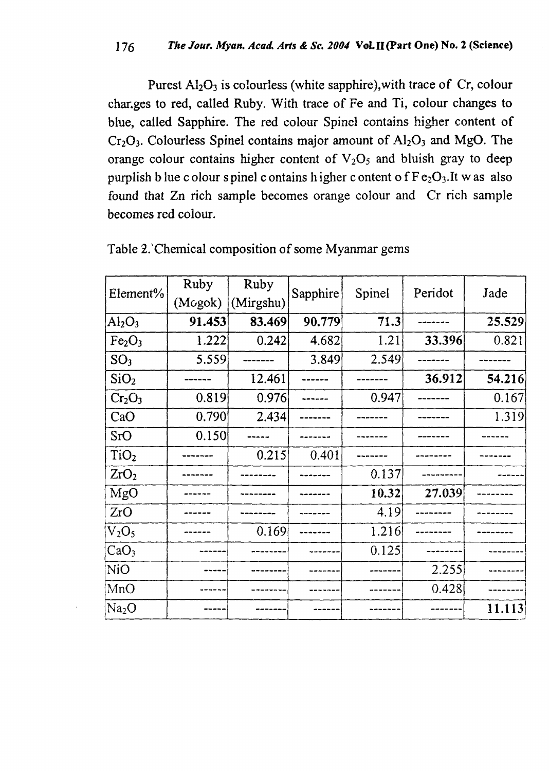Purest  $A1_2O_3$  is colourless (white sapphire), with trace of Cr, colour changes to red, called Ruby. With trace of Fe and Ti, colour changes to blue, called Sapphire. The red colour Spinel contains higher content of  $Cr_2O_3$ . Colourless Spinel contains major amount of  $Al_2O_3$  and MgO. The orange colour contains higher content of  $V<sub>2</sub>O<sub>5</sub>$  and bluish gray to deep purplish b lue c olour s pinel c ontains higher c ontent of  $F e_2O_3$ . It w as also found that Zn rich sample becomes orange colour and Cr rich sample becomes red colour.

| Element%                       | Ruby    | Ruby      | Sapphire | Spinel | Peridot | Jade   |
|--------------------------------|---------|-----------|----------|--------|---------|--------|
|                                | (Mogok) | (Mirgshu) |          |        |         |        |
| $\rm Al_2O_3$                  | 91.453  | 83.469    | 90.779   | 71.3   |         | 25.529 |
| Fe <sub>2</sub> O <sub>3</sub> | 1.222   | 0.242     | 4.682    | 1.21   | 33.396  | 0.821  |
| SO <sub>3</sub>                | 5.559   |           | 3.849    | 2.549  |         |        |
| SiO <sub>2</sub>               |         | 12.461    |          |        | 36.912  | 54.216 |
| Cr <sub>2</sub> O <sub>3</sub> | 0.819   | 0.976     |          | 0.947  |         | 0.167  |
| CaO                            | 0.790   | 2.434     |          |        |         | 1.319  |
| SrO                            | 0.150   |           |          |        |         |        |
| TiO <sub>2</sub>               |         | 0.215     | 0.401    |        |         |        |
| ZrO <sub>2</sub>               |         |           |          | 0.137  |         |        |
| MgO                            |         |           |          | 10.32  | 27.039  |        |
| ZrO                            |         |           |          | 4.19   |         |        |
| $V_2O_5$                       |         | 0.169     |          | 1.216  |         |        |
| CaO <sub>3</sub>               |         |           |          | 0.125  |         |        |
| NiO                            |         |           |          |        | 2.255   |        |
| MnO                            |         |           |          |        | 0.428   |        |
| Na <sub>2</sub> O              |         |           |          |        |         | 11.113 |

Table 2.'Chemical composition of some Myanmar gems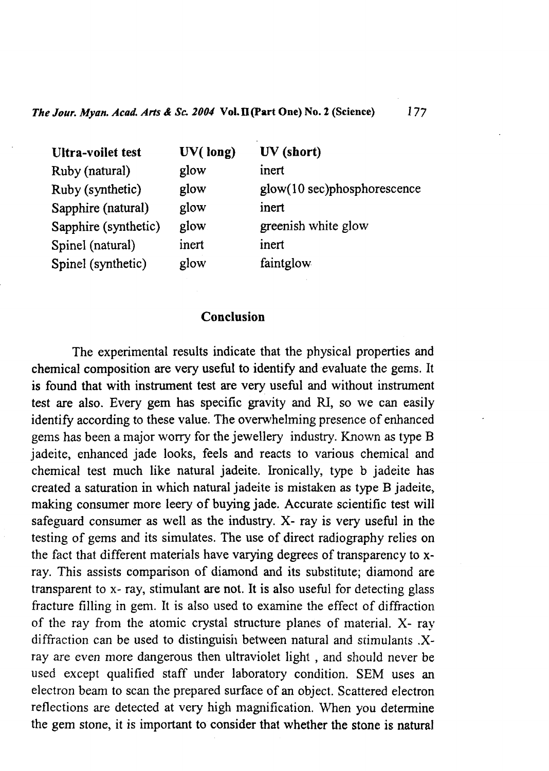| <b>Ultra-voilet test</b> | UV(long) | UV (short)                     |
|--------------------------|----------|--------------------------------|
| Ruby (natural)           | glow     | inert                          |
| Ruby (synthetic)         | glow     | $glow(10 sec)$ phosphorescence |
| Sapphire (natural)       | glow     | inert                          |
| Sapphire (synthetic)     | glow.    | greenish white glow            |
| Spinel (natural)         | inert    | inert                          |
| Spinel (synthetic)       | glow     | faintglow                      |

## **Conclusion**

The experimental results indicate that the physical properties and chemical composition are very useful to identify and evaluate the gems. It is found that with instrument test are very useful and without instrument test are also. Every gem has specific gravity and RI, so we can easily identify according to these value. The overwhelming presence of enhanced gems has been a major worry for the jewellery industry. Known as type B jadeite, enhanced jade looks, feels and reacts to various chemical and chemical test much like natural jadeite. Ironically, type b jadeite has created a saturation in which natural jadeite is mistaken as type B jadeite, making consumer more leery of buying jade. Accurate scientific test will safeguard consumer as well as the industry. X- ray is very useful in the testing of gems and its simulates. The use of direct radiography relies on the fact that different materials have varying degrees of transparency to xray. This assists comparison of diamond and its substitute; diamond are transparent to x- ray, stimulant are not. It is also useful for detecting glass fracture filling in gem. It is also used to examine the effect of diffraction of the ray from the atomic crystal structure planes of material. X- ray diffraction can be used to distinguish between natural and stimulants .Xray are even more dangerous then ultraviolet light , and should never be used except qualified staff under laboratory condition. SEM uses an electron beam to scan the prepared surface of an object. Scattered electron reflections are detected at very high magnification. When you determine the gem stone, it is important to consider that whether the stone is natural